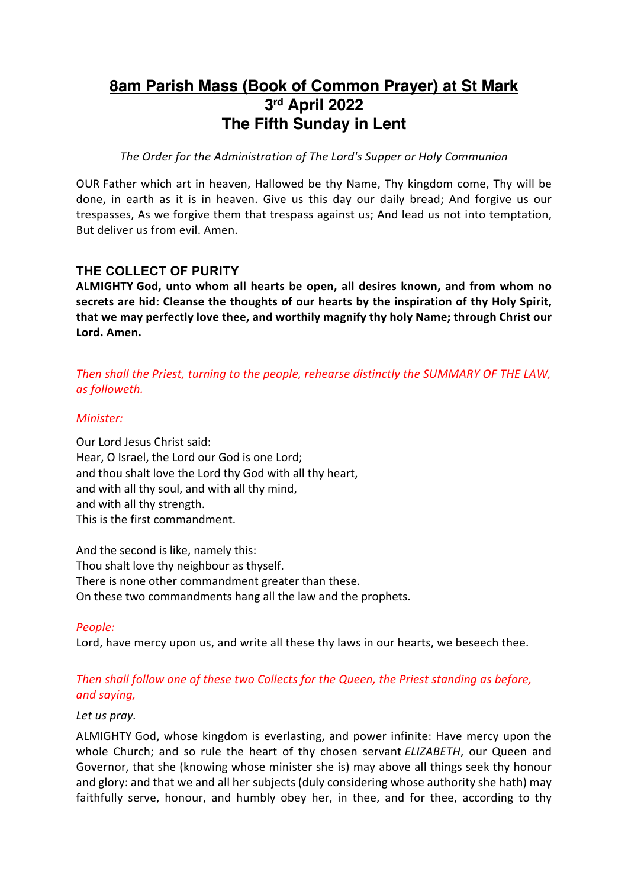# **8am Parish Mass (Book of Common Prayer) at St Mark 3rd April 2022 The Fifth Sunday in Lent**

*The Order for the Administration of The Lord's Supper or Holy Communion*

OUR Father which art in heaven, Hallowed be thy Name, Thy kingdom come, Thy will be done, in earth as it is in heaven. Give us this day our daily bread; And forgive us our trespasses, As we forgive them that trespass against us; And lead us not into temptation, But deliver us from evil. Amen.

# **THE COLLECT OF PURITY**

**ALMIGHTY God, unto whom all hearts be open, all desires known, and from whom no secrets are hid: Cleanse the thoughts of our hearts by the inspiration of thy Holy Spirit, that we may perfectly love thee, and worthily magnify thy holy Name; through Christ our Lord. Amen.**

# *Then shall the Priest, turning to the people, rehearse distinctly the SUMMARY OF THE LAW, as followeth.*

### *Minister:*

Our Lord Jesus Christ said: Hear, O Israel, the Lord our God is one Lord; and thou shalt love the Lord thy God with all thy heart, and with all thy soul, and with all thy mind, and with all thy strength. This is the first commandment.

And the second is like, namely this: Thou shalt love thy neighbour as thyself. There is none other commandment greater than these. On these two commandments hang all the law and the prophets.

*People:* 

Lord, have mercy upon us, and write all these thy laws in our hearts, we beseech thee.

# *Then shall follow one of these two Collects for the Queen, the Priest standing as before, and saying,*

#### *Let us pray.*

ALMIGHTY God, whose kingdom is everlasting, and power infinite: Have mercy upon the whole Church; and so rule the heart of thy chosen servant *ELIZABETH*, our Queen and Governor, that she (knowing whose minister she is) may above all things seek thy honour and glory: and that we and all her subjects (duly considering whose authority she hath) may faithfully serve, honour, and humbly obey her, in thee, and for thee, according to thy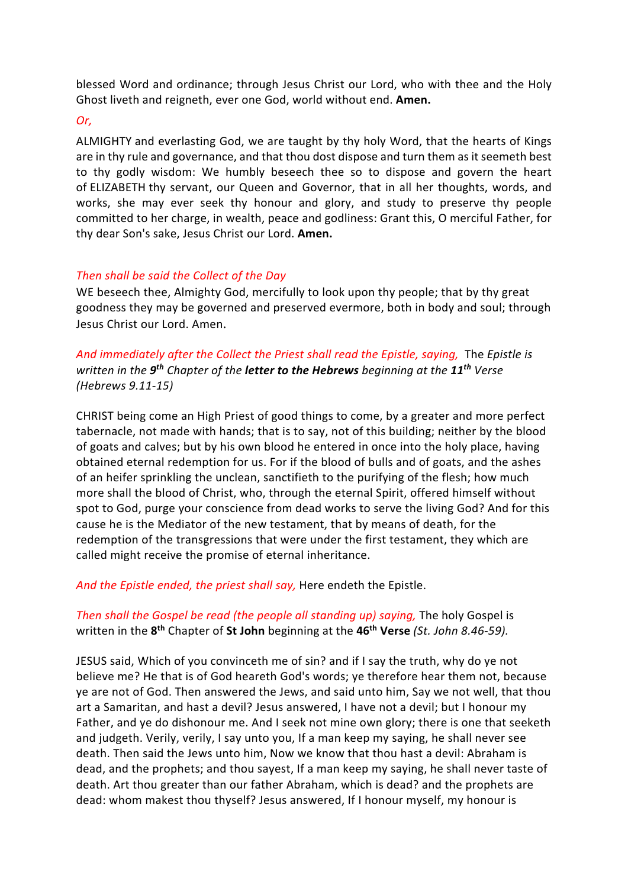blessed Word and ordinance; through Jesus Christ our Lord, who with thee and the Holy Ghost liveth and reigneth, ever one God, world without end. **Amen.**

#### *Or,*

ALMIGHTY and everlasting God, we are taught by thy holy Word, that the hearts of Kings are in thy rule and governance, and that thou dost dispose and turn them as it seemeth best to thy godly wisdom: We humbly beseech thee so to dispose and govern the heart of ELIZABETH thy servant, our Queen and Governor, that in all her thoughts, words, and works, she may ever seek thy honour and glory, and study to preserve thy people committed to her charge, in wealth, peace and godliness: Grant this, O merciful Father, for thy dear Son's sake, Jesus Christ our Lord. **Amen.**

### *Then shall be said the Collect of the Day*

WE beseech thee, Almighty God, mercifully to look upon thy people; that by thy great goodness they may be governed and preserved evermore, both in body and soul; through Jesus Christ our Lord. Amen.

*And immediately after the Collect the Priest shall read the Epistle, saying,* The *Epistle is written in the 9th Chapter of the letter to the Hebrews beginning at the 11th Verse (Hebrews 9.11-15)*

CHRIST being come an High Priest of good things to come, by a greater and more perfect tabernacle, not made with hands; that is to say, not of this building; neither by the blood of goats and calves; but by his own blood he entered in once into the holy place, having obtained eternal redemption for us. For if the blood of bulls and of goats, and the ashes of an heifer sprinkling the unclean, sanctifieth to the purifying of the flesh; how much more shall the blood of Christ, who, through the eternal Spirit, offered himself without spot to God, purge your conscience from dead works to serve the living God? And for this cause he is the Mediator of the new testament, that by means of death, for the redemption of the transgressions that were under the first testament, they which are called might receive the promise of eternal inheritance.

*And the Epistle ended, the priest shall say,* Here endeth the Epistle.

## *Then shall the Gospel be read (the people all standing up) saying,* The holy Gospel is written in the **8th** Chapter of **St John** beginning at the **46th Verse** *(St. John 8.46-59).*

JESUS said, Which of you convinceth me of sin? and if I say the truth, why do ye not believe me? He that is of God heareth God's words; ye therefore hear them not, because ye are not of God. Then answered the Jews, and said unto him, Say we not well, that thou art a Samaritan, and hast a devil? Jesus answered, I have not a devil; but I honour my Father, and ye do dishonour me. And I seek not mine own glory; there is one that seeketh and judgeth. Verily, verily, I say unto you, If a man keep my saying, he shall never see death. Then said the Jews unto him, Now we know that thou hast a devil: Abraham is dead, and the prophets; and thou sayest, If a man keep my saying, he shall never taste of death. Art thou greater than our father Abraham, which is dead? and the prophets are dead: whom makest thou thyself? Jesus answered, If I honour myself, my honour is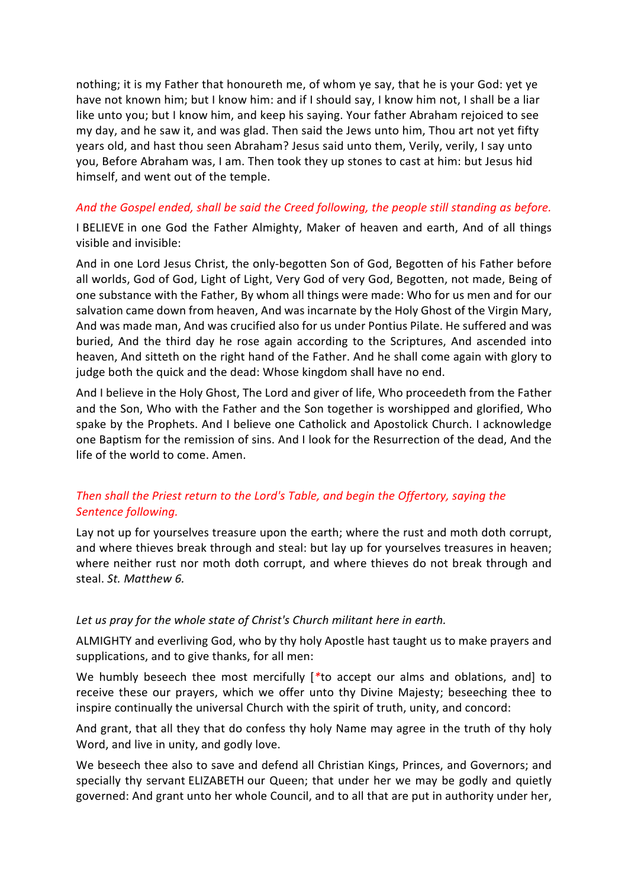nothing; it is my Father that honoureth me, of whom ye say, that he is your God: yet ye have not known him; but I know him: and if I should say, I know him not, I shall be a liar like unto you; but I know him, and keep his saying. Your father Abraham rejoiced to see my day, and he saw it, and was glad. Then said the Jews unto him, Thou art not yet fifty years old, and hast thou seen Abraham? Jesus said unto them, Verily, verily, I say unto you, Before Abraham was, I am. Then took they up stones to cast at him: but Jesus hid himself, and went out of the temple.

## *And the Gospel ended, shall be said the Creed following, the people still standing as before.*

I BELIEVE in one God the Father Almighty, Maker of heaven and earth, And of all things visible and invisible:

And in one Lord Jesus Christ, the only-begotten Son of God, Begotten of his Father before all worlds, God of God, Light of Light, Very God of very God, Begotten, not made, Being of one substance with the Father, By whom all things were made: Who for us men and for our salvation came down from heaven, And was incarnate by the Holy Ghost of the Virgin Mary, And was made man, And was crucified also for us under Pontius Pilate. He suffered and was buried, And the third day he rose again according to the Scriptures, And ascended into heaven, And sitteth on the right hand of the Father. And he shall come again with glory to judge both the quick and the dead: Whose kingdom shall have no end.

And I believe in the Holy Ghost, The Lord and giver of life, Who proceedeth from the Father and the Son, Who with the Father and the Son together is worshipped and glorified, Who spake by the Prophets. And I believe one Catholick and Apostolick Church. I acknowledge one Baptism for the remission of sins. And I look for the Resurrection of the dead, And the life of the world to come. Amen.

# *Then shall the Priest return to the Lord's Table, and begin the Offertory, saying the Sentence following.*

Lay not up for yourselves treasure upon the earth; where the rust and moth doth corrupt, and where thieves break through and steal: but lay up for yourselves treasures in heaven; where neither rust nor moth doth corrupt, and where thieves do not break through and steal. *St. Matthew 6.*

#### *Let us pray for the whole state of Christ's Church militant here in earth.*

ALMIGHTY and everliving God, who by thy holy Apostle hast taught us to make prayers and supplications, and to give thanks, for all men:

We humbly beseech thee most mercifully [*\**to accept our alms and oblations, and] to receive these our prayers, which we offer unto thy Divine Majesty; beseeching thee to inspire continually the universal Church with the spirit of truth, unity, and concord:

And grant, that all they that do confess thy holy Name may agree in the truth of thy holy Word, and live in unity, and godly love.

We beseech thee also to save and defend all Christian Kings, Princes, and Governors; and specially thy servant ELIZABETH our Queen; that under her we may be godly and quietly governed: And grant unto her whole Council, and to all that are put in authority under her,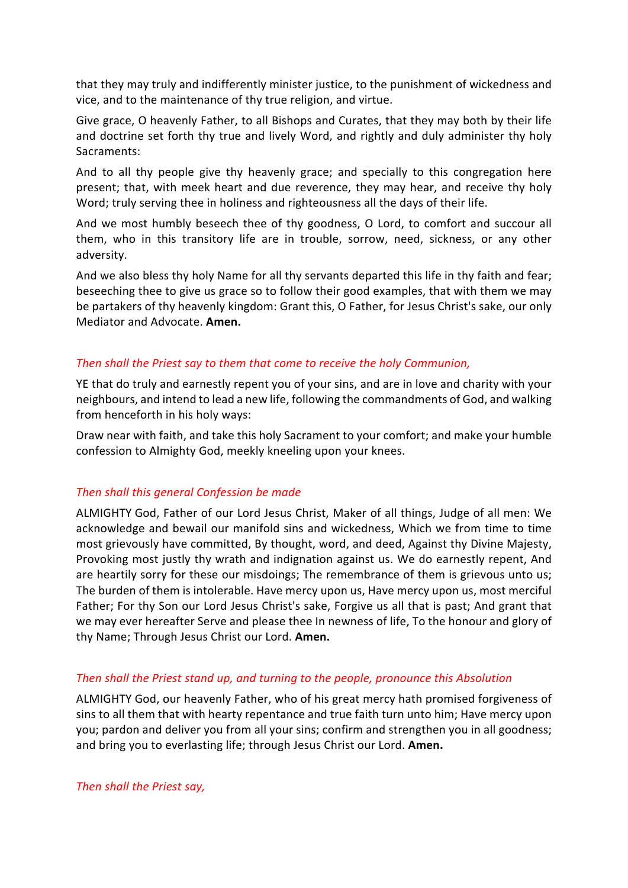that they may truly and indifferently minister justice, to the punishment of wickedness and vice, and to the maintenance of thy true religion, and virtue.

Give grace, O heavenly Father, to all Bishops and Curates, that they may both by their life and doctrine set forth thy true and lively Word, and rightly and duly administer thy holy Sacraments:

And to all thy people give thy heavenly grace; and specially to this congregation here present; that, with meek heart and due reverence, they may hear, and receive thy holy Word; truly serving thee in holiness and righteousness all the days of their life.

And we most humbly beseech thee of thy goodness, O Lord, to comfort and succour all them, who in this transitory life are in trouble, sorrow, need, sickness, or any other adversity.

And we also bless thy holy Name for all thy servants departed this life in thy faith and fear; beseeching thee to give us grace so to follow their good examples, that with them we may be partakers of thy heavenly kingdom: Grant this, O Father, for Jesus Christ's sake, our only Mediator and Advocate. **Amen.**

### *Then shall the Priest say to them that come to receive the holy Communion,*

YE that do truly and earnestly repent you of your sins, and are in love and charity with your neighbours, and intend to lead a new life, following the commandments of God, and walking from henceforth in his holy ways:

Draw near with faith, and take this holy Sacrament to your comfort; and make your humble confession to Almighty God, meekly kneeling upon your knees.

# *Then shall this general Confession be made*

ALMIGHTY God, Father of our Lord Jesus Christ, Maker of all things, Judge of all men: We acknowledge and bewail our manifold sins and wickedness, Which we from time to time most grievously have committed, By thought, word, and deed, Against thy Divine Majesty, Provoking most justly thy wrath and indignation against us. We do earnestly repent, And are heartily sorry for these our misdoings; The remembrance of them is grievous unto us; The burden of them is intolerable. Have mercy upon us, Have mercy upon us, most merciful Father; For thy Son our Lord Jesus Christ's sake, Forgive us all that is past; And grant that we may ever hereafter Serve and please thee In newness of life, To the honour and glory of thy Name; Through Jesus Christ our Lord. **Amen.**

#### *Then shall the Priest stand up, and turning to the people, pronounce this Absolution*

ALMIGHTY God, our heavenly Father, who of his great mercy hath promised forgiveness of sins to all them that with hearty repentance and true faith turn unto him; Have mercy upon you; pardon and deliver you from all your sins; confirm and strengthen you in all goodness; and bring you to everlasting life; through Jesus Christ our Lord. **Amen.**

*Then shall the Priest say,*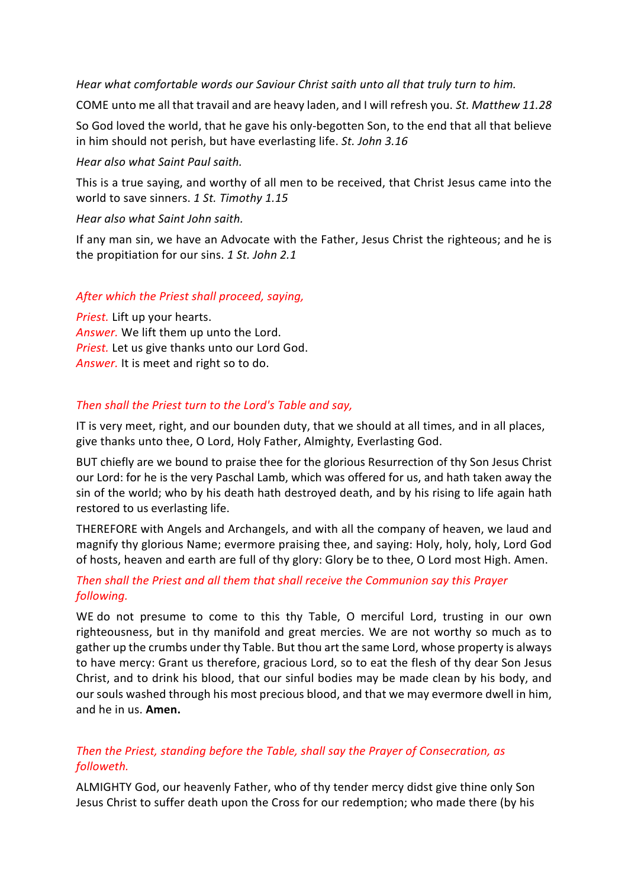*Hear what comfortable words our Saviour Christ saith unto all that truly turn to him.*

COME unto me all that travail and are heavy laden, and I will refresh you. *St. Matthew 11.28*

So God loved the world, that he gave his only-begotten Son, to the end that all that believe in him should not perish, but have everlasting life. *St. John 3.16*

## *Hear also what Saint Paul saith.*

This is a true saying, and worthy of all men to be received, that Christ Jesus came into the world to save sinners. *1 St. Timothy 1.15*

### *Hear also what Saint John saith.*

If any man sin, we have an Advocate with the Father, Jesus Christ the righteous; and he is the propitiation for our sins. *1 St. John 2.1*

# *After which the Priest shall proceed, saying,*

*Priest.* Lift up your hearts. *Answer.* We lift them up unto the Lord. *Priest.* Let us give thanks unto our Lord God. *Answer.* It is meet and right so to do.

# *Then shall the Priest turn to the Lord's Table and say,*

IT is very meet, right, and our bounden duty, that we should at all times, and in all places, give thanks unto thee, O Lord, Holy Father, Almighty, Everlasting God.

BUT chiefly are we bound to praise thee for the glorious Resurrection of thy Son Jesus Christ our Lord: for he is the very Paschal Lamb, which was offered for us, and hath taken away the sin of the world; who by his death hath destroyed death, and by his rising to life again hath restored to us everlasting life.

THEREFORE with Angels and Archangels, and with all the company of heaven, we laud and magnify thy glorious Name; evermore praising thee, and saying: Holy, holy, holy, Lord God of hosts, heaven and earth are full of thy glory: Glory be to thee, O Lord most High. Amen.

# *Then shall the Priest and all them that shall receive the Communion say this Prayer following.*

WE do not presume to come to this thy Table, O merciful Lord, trusting in our own righteousness, but in thy manifold and great mercies. We are not worthy so much as to gather up the crumbs under thy Table. But thou art the same Lord, whose property is always to have mercy: Grant us therefore, gracious Lord, so to eat the flesh of thy dear Son Jesus Christ, and to drink his blood, that our sinful bodies may be made clean by his body, and our souls washed through his most precious blood, and that we may evermore dwell in him, and he in us. **Amen.**

# *Then the Priest, standing before the Table, shall say the Prayer of Consecration, as followeth.*

ALMIGHTY God, our heavenly Father, who of thy tender mercy didst give thine only Son Jesus Christ to suffer death upon the Cross for our redemption; who made there (by his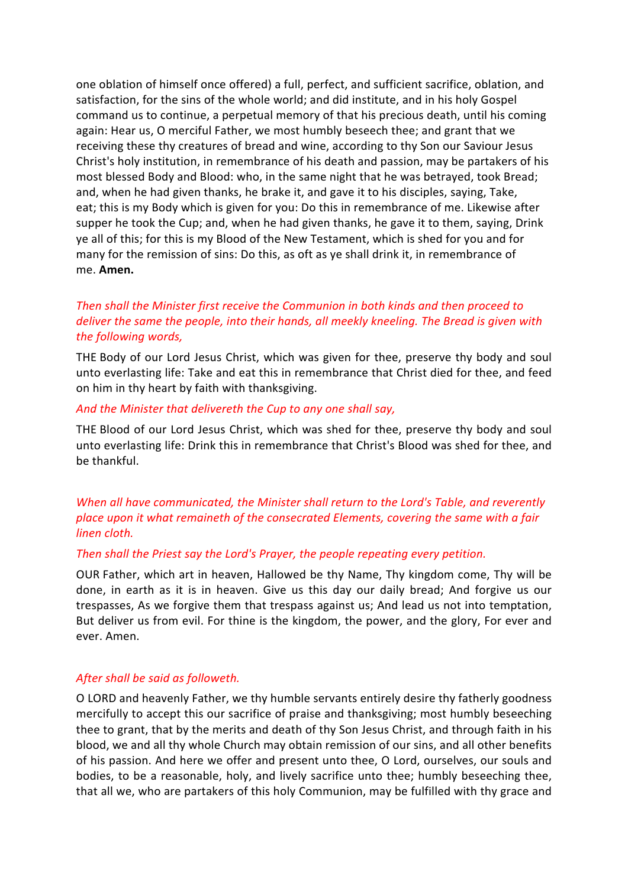one oblation of himself once offered) a full, perfect, and sufficient sacrifice, oblation, and satisfaction, for the sins of the whole world; and did institute, and in his holy Gospel command us to continue, a perpetual memory of that his precious death, until his coming again: Hear us, O merciful Father, we most humbly beseech thee; and grant that we receiving these thy creatures of bread and wine, according to thy Son our Saviour Jesus Christ's holy institution, in remembrance of his death and passion, may be partakers of his most blessed Body and Blood: who, in the same night that he was betrayed, took Bread; and, when he had given thanks, he brake it, and gave it to his disciples, saying, Take, eat; this is my Body which is given for you: Do this in remembrance of me. Likewise after supper he took the Cup; and, when he had given thanks, he gave it to them, saying, Drink ye all of this; for this is my Blood of the New Testament, which is shed for you and for many for the remission of sins: Do this, as oft as ye shall drink it, in remembrance of me. **Amen.**

# *Then shall the Minister first receive the Communion in both kinds and then proceed to deliver the same the people, into their hands, all meekly kneeling. The Bread is given with the following words,*

THE Body of our Lord Jesus Christ, which was given for thee, preserve thy body and soul unto everlasting life: Take and eat this in remembrance that Christ died for thee, and feed on him in thy heart by faith with thanksgiving.

#### *And the Minister that delivereth the Cup to any one shall say,*

THE Blood of our Lord Jesus Christ, which was shed for thee, preserve thy body and soul unto everlasting life: Drink this in remembrance that Christ's Blood was shed for thee, and be thankful.

*When all have communicated, the Minister shall return to the Lord's Table, and reverently place upon it what remaineth of the consecrated Elements, covering the same with a fair linen cloth.*

#### *Then shall the Priest say the Lord's Prayer, the people repeating every petition.*

OUR Father, which art in heaven, Hallowed be thy Name, Thy kingdom come, Thy will be done, in earth as it is in heaven. Give us this day our daily bread; And forgive us our trespasses, As we forgive them that trespass against us; And lead us not into temptation, But deliver us from evil. For thine is the kingdom, the power, and the glory, For ever and ever. Amen.

#### *After shall be said as followeth.*

O LORD and heavenly Father, we thy humble servants entirely desire thy fatherly goodness mercifully to accept this our sacrifice of praise and thanksgiving; most humbly beseeching thee to grant, that by the merits and death of thy Son Jesus Christ, and through faith in his blood, we and all thy whole Church may obtain remission of our sins, and all other benefits of his passion. And here we offer and present unto thee, O Lord, ourselves, our souls and bodies, to be a reasonable, holy, and lively sacrifice unto thee; humbly beseeching thee, that all we, who are partakers of this holy Communion, may be fulfilled with thy grace and